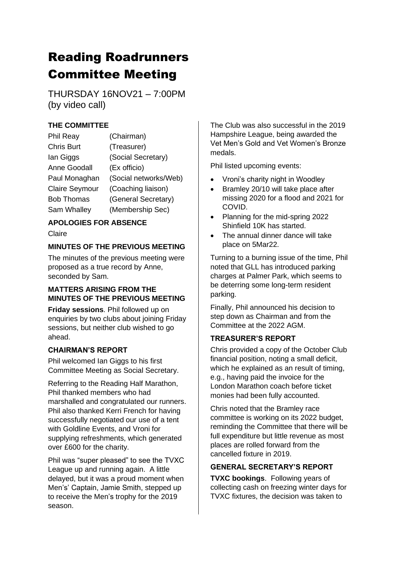# Reading Roadrunners Committee Meeting

THURSDAY 16NOV21 – 7:00PM (by video call)

# **THE COMMITTEE**

| <b>Phil Reay</b>      | (Chairman)            |
|-----------------------|-----------------------|
| <b>Chris Burt</b>     | (Treasurer)           |
| lan Giggs             | (Social Secretary)    |
| <b>Anne Goodall</b>   | (Ex officio)          |
| Paul Monaghan         | (Social networks/Web) |
| <b>Claire Seymour</b> | (Coaching liaison)    |
| <b>Bob Thomas</b>     | (General Secretary)   |
| Sam Whalley           | (Membership Sec)      |

# **APOLOGIES FOR ABSENCE**

Claire

## **MINUTES OF THE PREVIOUS MEETING**

The minutes of the previous meeting were proposed as a true record by Anne, seconded by Sam.

### **MATTERS ARISING FROM THE MINUTES OF THE PREVIOUS MEETING**

**Friday sessions**. Phil followed up on enquiries by two clubs about joining Friday sessions, but neither club wished to go ahead.

# **CHAIRMAN'S REPORT**

Phil welcomed Ian Giggs to his first Committee Meeting as Social Secretary.

Referring to the Reading Half Marathon, Phil thanked members who had marshalled and congratulated our runners. Phil also thanked Kerri French for having successfully negotiated our use of a tent with Goldline Events, and Vroni for supplying refreshments, which generated over £600 for the charity.

Phil was "super pleased" to see the TVXC League up and running again. A little delayed, but it was a proud moment when Men's' Captain, Jamie Smith, stepped up to receive the Men's trophy for the 2019 season.

The Club was also successful in the 2019 Hampshire League, being awarded the Vet Men's Gold and Vet Women's Bronze medals.

Phil listed upcoming events:

- Vroni's charity night in Woodley
- Bramley 20/10 will take place after missing 2020 for a flood and 2021 for COVID.
- Planning for the mid-spring 2022 Shinfield 10K has started.
- The annual dinner dance will take place on 5Mar22.

Turning to a burning issue of the time, Phil noted that GLL has introduced parking charges at Palmer Park, which seems to be deterring some long-term resident parking.

Finally, Phil announced his decision to step down as Chairman and from the Committee at the 2022 AGM.

# **TREASURER'S REPORT**

Chris provided a copy of the October Club financial position, noting a small deficit, which he explained as an result of timing, e.g., having paid the invoice for the London Marathon coach before ticket monies had been fully accounted.

Chris noted that the Bramley race committee is working on its 2022 budget, reminding the Committee that there will be full expenditure but little revenue as most places are rolled forward from the cancelled fixture in 2019.

# **GENERAL SECRETARY'S REPORT**

**TVXC bookings**. Following years of collecting cash on freezing winter days for TVXC fixtures, the decision was taken to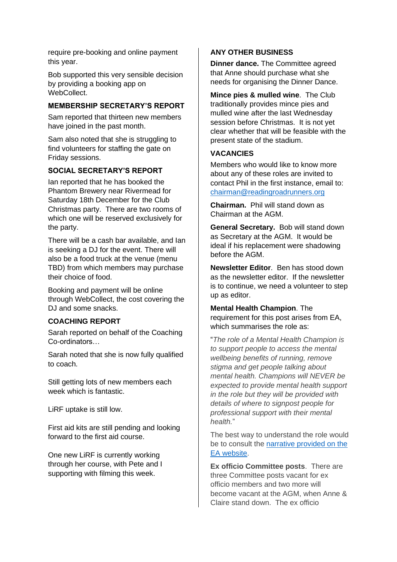require pre-booking and online payment this year.

Bob supported this very sensible decision by providing a booking app on WebCollect.

#### **MEMBERSHIP SECRETARY'S REPORT**

Sam reported that thirteen new members have joined in the past month.

Sam also noted that she is struggling to find volunteers for staffing the gate on Friday sessions.

#### **SOCIAL SECRETARY'S REPORT**

Ian reported that he has booked the Phantom Brewery near Rivermead for Saturday 18th December for the Club Christmas party. There are two rooms of which one will be reserved exclusively for the party.

There will be a cash bar available, and Ian is seeking a DJ for the event. There will also be a food truck at the venue (menu TBD) from which members may purchase their choice of food.

Booking and payment will be online through WebCollect, the cost covering the DJ and some snacks.

#### **COACHING REPORT**

Sarah reported on behalf of the Coaching Co-ordinators…

Sarah noted that she is now fully qualified to coach.

Still getting lots of new members each week which is fantastic.

LiRF uptake is still low.

First aid kits are still pending and looking forward to the first aid course.

One new LiRF is currently working through her course, with Pete and I supporting with filming this week.

#### **ANY OTHER BUSINESS**

**Dinner dance.** The Committee agreed that Anne should purchase what she needs for organising the Dinner Dance.

**Mince pies & mulled wine**. The Club traditionally provides mince pies and mulled wine after the last Wednesday session before Christmas. It is not yet clear whether that will be feasible with the present state of the stadium.

#### **VACANCIES**

Members who would like to know more about any of these roles are invited to contact Phil in the first instance, email to: [chairman@readingroadrunners.org](mailto:chairman@readingroadrunners.org)

**Chairman.** Phil will stand down as Chairman at the AGM.

**General Secretary.** Bob will stand down as Secretary at the AGM. It would be ideal if his replacement were shadowing before the AGM.

**Newsletter Editor**. Ben has stood down as the newsletter editor. If the newsletter is to continue, we need a volunteer to step up as editor.

**Mental Health Champion**. The requirement for this post arises from EA, which summarises the role as:

"*The role of a Mental Health Champion is to support people to access the mental wellbeing benefits of running, remove stigma and get people talking about mental health. Champions will NEVER be expected to provide mental health support in the role but they will be provided with details of where to signpost people for professional support with their mental health.*"

The best way to understand the role would be to consult the [narrative provided on the](https://www.englandathletics.org/athletics-and-running/our-programmes/runandtalk/mental-health-champions/)  [EA website.](https://www.englandathletics.org/athletics-and-running/our-programmes/runandtalk/mental-health-champions/)

**Ex officio Committee posts**. There are three Committee posts vacant for ex officio members and two more will become vacant at the AGM, when Anne & Claire stand down. The ex officio